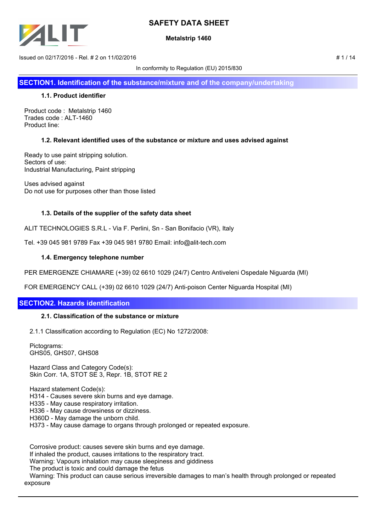

## **Metalstrip 1460**

 $\mu$  Issued on 02/17/2016 - Rel. # 2 on 11/02/2016  $\mu$  1 / 14

In conformity to Regulation (EU) 2015/830

**SECTION1. Identification of the substance/mixture and of the company/undertaking**

### **1.1. Product identifier**

Product code : Metalstrip 1460 Trades code : ALT-1460 Product line:

## **1.2. Relevant identified uses of the substance or mixture and uses advised against**

Ready to use paint stripping solution. Sectors of use: Industrial Manufacturing, Paint stripping

Uses advised against Do not use for purposes other than those listed

## **1.3. Details of the supplier of the safety data sheet**

ALIT TECHNOLOGIES S.R.L - Via F. Perlini, Sn - San Bonifacio (VR), Italy

Tel. +39 045 981 9789 Fax +39 045 981 9780 Email: info@alit-tech.com

### **1.4. Emergency telephone number**

PER EMERGENZE CHIAMARE (+39) 02 6610 1029 (24/7) Centro Antiveleni Ospedale Niguarda (MI)

FOR EMERGENCY CALL (+39) 02 6610 1029 (24/7) Anti-poison Center Niguarda Hospital (MI)

## **SECTION2. Hazards identification**

#### **2.1. Classification of the substance or mixture**

2.1.1 Classification according to Regulation (EC) No 1272/2008:

 Pictograms: GHS05, GHS07, GHS08

 Hazard Class and Category Code(s): Skin Corr. 1A, STOT SE 3, Repr. 1B, STOT RE 2

Hazard statement Code(s):

H314 - Causes severe skin burns and eye damage.

H335 - May cause respiratory irritation.

H336 - May cause drowsiness or dizziness.

H360D - May damage the unborn child.

H373 - May cause damage to organs through prolonged or repeated exposure.

 Corrosive product: causes severe skin burns and eye damage. If inhaled the product, causes irritations to the respiratory tract. Warning: Vapours inhalation may cause sleepiness and giddiness The product is toxic and could damage the fetus Warning: This product can cause serious irreversible damages to man's health through prolonged or repeated exposure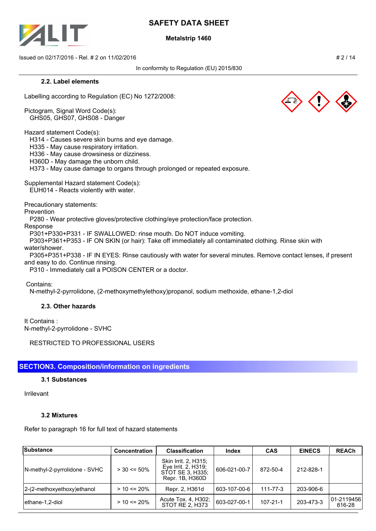

### **Metalstrip 1460**

 $\frac{1}{2}$  Issued on 02/17/2016 - Rel. # 2 on 11/02/2016

In conformity to Regulation (EU) 2015/830

#### **2.2. Label elements**

Labelling according to Regulation (EC) No 1272/2008:

Pictogram, Signal Word Code(s): GHS05, GHS07, GHS08 - Danger

Hazard statement Code(s):

H314 - Causes severe skin burns and eye damage.

H335 - May cause respiratory irritation.

H336 - May cause drowsiness or dizziness.

H360D - May damage the unborn child.

H373 - May cause damage to organs through prolonged or repeated exposure.

Supplemental Hazard statement Code(s):

EUH014 - Reacts violently with water.

Precautionary statements:

#### Prevention

P280 - Wear protective gloves/protective clothing/eye protection/face protection.

Response

P301+P330+P331 - IF SWALLOWED: rinse mouth. Do NOT induce vomiting.

 P303+P361+P353 - IF ON SKIN (or hair): Take off immediately all contaminated clothing. Rinse skin with water/shower.

 P305+P351+P338 - IF IN EYES: Rinse cautiously with water for several minutes. Remove contact lenses, if present and easy to do. Continue rinsing.

P310 - Immediately call a POISON CENTER or a doctor.

Contains:

N-methyl-2-pyrrolidone, (2-methoxymethylethoxy)propanol, sodium methoxide, ethane-1,2-diol

## **2.3. Other hazards**

It Contains : N-methyl-2-pyrrolidone - SVHC

RESTRICTED TO PROFESSIONAL USERS

# **SECTION3. Composition/information on ingredients**

## **3.1 Substances**

Irrilevant

## **3.2 Mixtures**

Refer to paragraph 16 for full text of hazard statements

| <b>Substance</b>              | <b>Concentration</b> | <b>Classification</b>                                                              | <b>Index</b> | <b>CAS</b>     | <b>EINECS</b> | <b>REACh</b>          |
|-------------------------------|----------------------|------------------------------------------------------------------------------------|--------------|----------------|---------------|-----------------------|
| N-methyl-2-pyrrolidone - SVHC | $>$ 30 <= 50%        | Skin Irrit. 2, H315;<br>Eye Irrit. 2, H319;<br>STOT SE 3. H335:<br>Repr. 1B, H360D | 606-021-00-7 | 872-50-4       | 212-828-1     |                       |
| 2-(2-methoxyethoxy) ethanol   | $> 10 \le 20\%$      | Repr. 2, H361d                                                                     | 603-107-00-6 | $111 - 77 - 3$ | 203-906-6     |                       |
| lethane-1,2-diol              | $> 10 \le 20\%$      | Acute Tox. 4, H302:<br>STOT RE 2. H373                                             | 603-027-00-1 | $107 - 21 - 1$ | 203-473-3     | 101-2119456<br>816-28 |



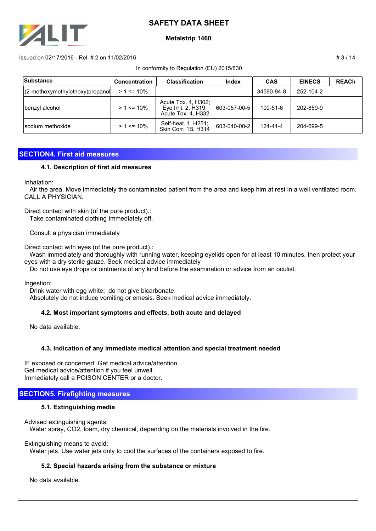

### **Metalstrip 1460**

#### $\mu$  Issued on 02/17/2016 - Rel. # 2 on 11/02/2016  $\mu$  3 / 14

In conformity to Regulation (EU) 2015/830

| Substance                           | <b>Concentration</b> | <b>Classification</b>                                            | Index        | <b>CAS</b>     | <b>EINECS</b> | <b>REACh</b> |
|-------------------------------------|----------------------|------------------------------------------------------------------|--------------|----------------|---------------|--------------|
| $(2$ -methoxymethylethoxy) propanol | $> 1 \le 10\%$       |                                                                  |              | 34590-94-8     | 252-104-2     |              |
| benzyl alcohol                      | $> 1$ <= 10%         | Acute Tox. 4, H302;<br>Eye Irrit. 2, H319;<br>Acute Tox. 4, H332 | 603-057-00-5 | $100 - 51 - 6$ | 202-859-9     |              |
| Isodium methoxide                   | $> 1$ <= 10%         | Self-heat. 1, H251;<br>Skin Corr. 1B, H314                       | 603-040-00-2 | 124-41-4       | 204-699-5     |              |

## **SECTION4. First aid measures**

### **4.1. Description of first aid measures**

Inhalation:

 Air the area. Move immediately the contaminated patient from the area and keep him at rest in a well ventilated room. CALL A PHYSICIAN.

Direct contact with skin (of the pure product).:

Take contaminated clothing Immediately off.

Consult a physician immediately

Direct contact with eyes (of the pure product).:

 Wash immediately and thoroughly with running water, keeping eyelids open for at least 10 minutes, then protect your eyes with a dry sterile gauze. Seek medical advice immediately

Do not use eye drops or ointments of any kind before the examination or advice from an oculist.

Ingestion:

 Drink water with egg white; do not give bicarbonate. Absolutely do not induce vomiting or emesis. Seek medical advice immediately.

## **4.2. Most important symptoms and effects, both acute and delayed**

No data available.

## **4.3. Indication of any immediate medical attention and special treatment needed**

IF exposed or concerned: Get medical advice/attention. Get medical advice/attention if you feel unwell. Immediately call a POISON CENTER or a doctor.

## **SECTION5. Firefighting measures**

## **5.1. Extinguishing media**

Advised extinguishing agents: Water spray, CO2, foam, dry chemical, depending on the materials involved in the fire.

Extinguishing means to avoid:

Water jets. Use water jets only to cool the surfaces of the containers exposed to fire.

## **5.2. Special hazards arising from the substance or mixture**

No data available.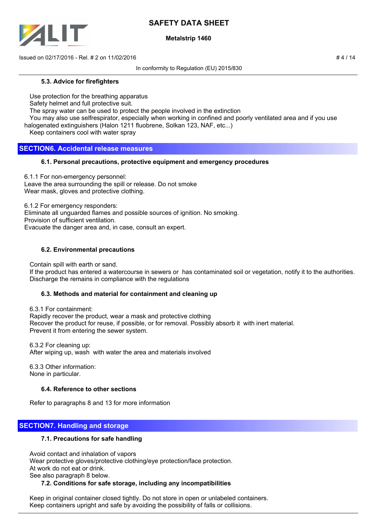

## **Metalstrip 1460**

 $\mu$  Issued on 02/17/2016 - Rel. # 2 on 11/02/2016  $\mu$  4 / 14

In conformity to Regulation (EU) 2015/830

### **5.3. Advice for firefighters**

Use protection for the breathing apparatus

Safety helmet and full protective suit.

The spray water can be used to protect the people involved in the extinction

You may also use selfrespirator, especially when working in confined and poorly ventilated area and if you use

halogenated extinguishers (Halon 1211 fluobrene, Solkan 123, NAF, etc...)

Keep containers cool with water spray

## **SECTION6. Accidental release measures**

## **6.1. Personal precautions, protective equipment and emergency procedures**

6.1.1 For non-emergency personnel: Leave the area surrounding the spill or release. Do not smoke Wear mask, gloves and protective clothing.

6.1.2 For emergency responders:

Eliminate all unguarded flames and possible sources of ignition. No smoking.

Provision of sufficient ventilation.

Evacuate the danger area and, in case, consult an expert.

## **6.2. Environmental precautions**

Contain spill with earth or sand.

 If the product has entered a watercourse in sewers or has contaminated soil or vegetation, notify it to the authorities. Discharge the remains in compliance with the regulations

## **6.3. Methods and material for containment and cleaning up**

 6.3.1 For containment: Rapidly recover the product, wear a mask and protective clothing Recover the product for reuse, if possible, or for removal. Possibly absorb it with inert material. Prevent it from entering the sewer system.

 6.3.2 For cleaning up: After wiping up, wash with water the area and materials involved

 6.3.3 Other information: None in particular.

## **6.4. Reference to other sections**

Refer to paragraphs 8 and 13 for more information

## **SECTION7. Handling and storage**

## **7.1. Precautions for safe handling**

 Avoid contact and inhalation of vapors Wear protective gloves/protective clothing/eye protection/face protection. At work do not eat or drink. See also paragraph 8 below.

## **7.2. Conditions for safe storage, including any incompatibilities**

 Keep in original container closed tightly. Do not store in open or unlabeled containers. Keep containers upright and safe by avoiding the possibility of falls or collisions.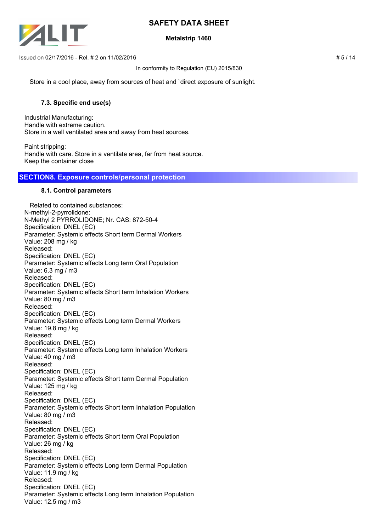

## **Metalstrip 1460**

 $\mu$  Issued on 02/17/2016 - Rel. # 2 on 11/02/2016  $\mu$  5 / 14

In conformity to Regulation (EU) 2015/830

Store in a cool place, away from sources of heat and `direct exposure of sunlight.

## **7.3. Specific end use(s)**

Industrial Manufacturing: Handle with extreme caution. Store in a well ventilated area and away from heat sources.

Paint stripping: Handle with care. Store in a ventilate area, far from heat source. Keep the container close

## **SECTION8. Exposure controls/personal protection**

### **8.1. Control parameters**

 Related to contained substances: N-methyl-2-pyrrolidone: N-Methyl 2 PYRROLIDONE; Nr. CAS: 872-50-4 Specification: DNEL (EC) Parameter: Systemic effects Short term Dermal Workers Value: 208 mg / kg Released: Specification: DNEL (EC) Parameter: Systemic effects Long term Oral Population Value: 6.3 mg / m3 Released: Specification: DNEL (EC) Parameter: Systemic effects Short term Inhalation Workers Value: 80 mg / m3 Released: Specification: DNEL (EC) Parameter: Systemic effects Long term Dermal Workers Value: 19.8 mg / kg Released: Specification: DNEL (EC) Parameter: Systemic effects Long term Inhalation Workers Value: 40 mg / m3 Released: Specification: DNEL (EC) Parameter: Systemic effects Short term Dermal Population Value: 125 mg / kg Released: Specification: DNEL (EC) Parameter: Systemic effects Short term Inhalation Population Value: 80 mg / m3 Released: Specification: DNEL (EC) Parameter: Systemic effects Short term Oral Population Value: 26 mg / kg Released: Specification: DNEL (EC) Parameter: Systemic effects Long term Dermal Population Value: 11.9 mg / kg Released: Specification: DNEL (EC) Parameter: Systemic effects Long term Inhalation Population Value: 12.5 mg / m3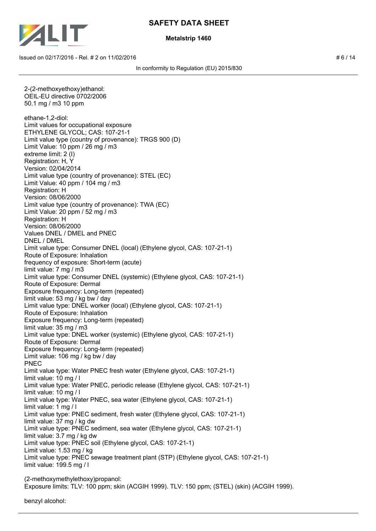

### **Metalstrip 1460**

 $\mu$  Issued on 02/17/2016 - Rel. # 2 on 11/02/2016  $\mu$  6 / 14

In conformity to Regulation (EU) 2015/830

2-(2-methoxyethoxy)ethanol: OEIL-EU directive 0702/2006 50.1 mg / m3 10 ppm ethane-1,2-diol: Limit values for occupational exposure ETHYLENE GLYCOL; CAS: 107-21-1 Limit value type (country of provenance): TRGS 900 (D) Limit Value: 10 ppm / 26 mg / m3 extreme limit: 2 (I) Registration: H, Y Version: 02/04/2014 Limit value type (country of provenance): STEL (EC) Limit Value: 40 ppm / 104 mg / m3 Registration: H Version: 08/06/2000 Limit value type (country of provenance): TWA (EC) Limit Value: 20 ppm / 52 mg / m3 Registration: H Version: 08/06/2000 Values DNEL / DMEL and PNEC DNEL / DMEL Limit value type: Consumer DNEL (local) (Ethylene glycol, CAS: 107-21-1) Route of Exposure: Inhalation frequency of exposure: Short-term (acute) limit value: 7 mg / m3 Limit value type: Consumer DNEL (systemic) (Ethylene glycol, CAS: 107-21-1) Route of Exposure: Dermal Exposure frequency: Long-term (repeated) limit value: 53 mg / kg bw / day Limit value type: DNEL worker (local) (Ethylene glycol, CAS: 107-21-1) Route of Exposure: Inhalation Exposure frequency: Long-term (repeated) limit value: 35 mg / m3 Limit value type: DNEL worker (systemic) (Ethylene glycol, CAS: 107-21-1) Route of Exposure: Dermal Exposure frequency: Long-term (repeated) Limit value: 106 mg / kg bw / day PNEC Limit value type: Water PNEC fresh water (Ethylene glycol, CAS: 107-21-1) limit value: 10 mg / l Limit value type: Water PNEC, periodic release (Ethylene glycol, CAS: 107-21-1) limit value: 10 mg / l Limit value type: Water PNEC, sea water (Ethylene glycol, CAS: 107-21-1) limit value: 1 mg / l Limit value type: PNEC sediment, fresh water (Ethylene glycol, CAS: 107-21-1) limit value: 37 mg / kg dw Limit value type: PNEC sediment, sea water (Ethylene glycol, CAS: 107-21-1) limit value: 3.7 mg / kg dw Limit value type: PNEC soil (Ethylene glycol, CAS: 107-21-1) Limit value: 1.53 mg / kg Limit value type: PNEC sewage treatment plant (STP) (Ethylene glycol, CAS: 107-21-1) limit value: 199.5 mg / l (2-methoxymethylethoxy)propanol: Exposure limits: TLV: 100 ppm; skin (ACGIH 1999). TLV: 150 ppm; (STEL) (skin) (ACGIH 1999).

benzyl alcohol: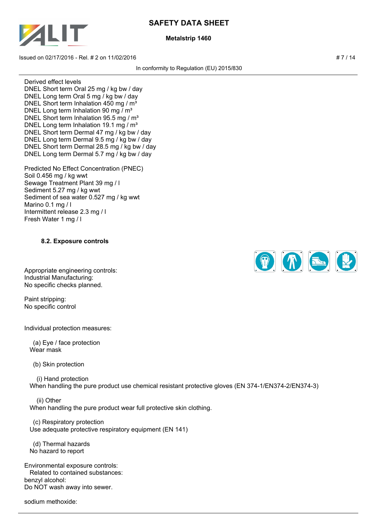

### **Metalstrip 1460**

 $\frac{1}{2}$  Issued on 02/17/2016 - Rel. # 2 on 11/02/2016

In conformity to Regulation (EU) 2015/830

Derived effect levels DNEL Short term Oral 25 mg / kg bw / day DNEL Long term Oral 5 mg / kg bw / day DNEL Short term Inhalation 450 mg / m<sup>3</sup> DNEL Long term Inhalation 90 mg / m<sup>3</sup> DNEL Short term Inhalation 95.5 mg / m<sup>3</sup> DNEL Long term Inhalation 19.1 mg /  $m<sup>3</sup>$ DNEL Short term Dermal 47 mg / kg bw / day DNEL Long term Dermal 9.5 mg / kg bw / day DNEL Short term Dermal 28.5 mg / kg bw / day DNEL Long term Dermal 5.7 mg / kg bw / day

Predicted No Effect Concentration (PNEC) Soil 0.456 mg / kg wwt Sewage Treatment Plant 39 mg / l Sediment 5.27 mg / kg wwt Sediment of sea water 0.527 mg / kg wwt Marino 0.1 mg / l Intermittent release 2.3 mg / l Fresh Water 1 mg / l

## **8.2. Exposure controls**

Appropriate engineering controls: Industrial Manufacturing: No specific checks planned.

Paint stripping: No specific control

Individual protection measures:

 (a) Eye / face protection Wear mask

(b) Skin protection

 (i) Hand protection When handling the pure product use chemical resistant protective gloves (EN 374-1/EN374-2/EN374-3)

 (ii) Other When handling the pure product wear full protective skin clothing.

 (c) Respiratory protection Use adequate protective respiratory equipment (EN 141)

 (d) Thermal hazards No hazard to report

Environmental exposure controls: Related to contained substances: benzyl alcohol: Do NOT wash away into sewer.

sodium methoxide:

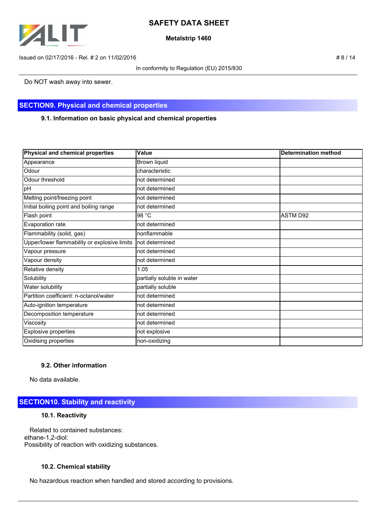

### **Metalstrip 1460**

Issued on 02/17/2016 - Rel. # 2 on 11/02/2016 **# 8 / 14**  $\neq 8$  / 14

In conformity to Regulation (EU) 2015/830

Do NOT wash away into sewer.

## **SECTION9. Physical and chemical properties**

**9.1. Information on basic physical and chemical properties**

| Physical and chemical properties             | Value                      | <b>Determination method</b> |
|----------------------------------------------|----------------------------|-----------------------------|
| Appearance                                   | Brown liquid               |                             |
| Odour                                        | characteristic             |                             |
| Odour threshold                              | not determined             |                             |
| pH                                           | not determined             |                             |
| Melting point/freezing point                 | not determined             |                             |
| Initial boiling point and boiling range      | not determined             |                             |
| Flash point                                  | 98 °C                      | ASTM D92                    |
| Evaporation rate                             | not determined             |                             |
| Flammability (solid, gas)                    | nonflammable               |                             |
| Upper/lower flammability or explosive limits | Inot determined            |                             |
| Vapour pressure                              | not determined             |                             |
| Vapour density                               | not determined             |                             |
| Relative density                             | 1.05                       |                             |
| Solubility                                   | partially soluble in water |                             |
| Water solubility                             | partially soluble          |                             |
| Partition coefficient: n-octanol/water       | not determined             |                             |
| Auto-ignition temperature                    | not determined             |                             |
| Decomposition temperature                    | not determined             |                             |
| Viscosity                                    | not determined             |                             |
| Explosive properties                         | not explosive              |                             |
| Oxidising properties                         | non-oxidizing              |                             |

## **9.2. Other information**

No data available.

## **SECTION10. Stability and reactivity**

#### **10.1. Reactivity**

 Related to contained substances: ethane-1,2-diol: Possibility of reaction with oxidizing substances.

## **10.2. Chemical stability**

No hazardous reaction when handled and stored according to provisions.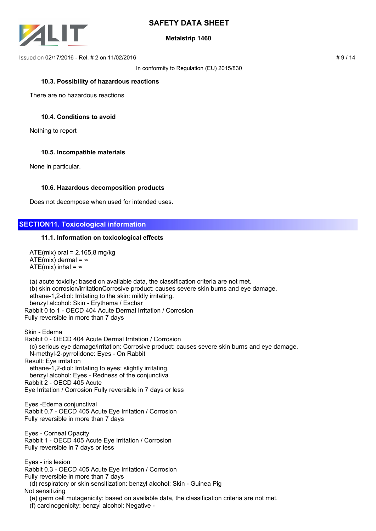

## **Metalstrip 1460**

 $\mu$  Issued on 02/17/2016 - Rel. # 2 on 11/02/2016  $\mu$  9 / 14

In conformity to Regulation (EU) 2015/830

#### **10.3. Possibility of hazardous reactions**

There are no hazardous reactions

### **10.4. Conditions to avoid**

Nothing to report

### **10.5. Incompatible materials**

None in particular.

#### **10.6. Hazardous decomposition products**

Does not decompose when used for intended uses.

## **SECTION11. Toxicological information**

### **11.1. Information on toxicological effects**

 $ATE(mix)$  oral = 2.165,8 mg/kg ATE(mix) dermal =  $\infty$ ATE(mix) inhal =  $\infty$ 

 (a) acute toxicity: based on available data, the classification criteria are not met. (b) skin corrosion/irritationCorrosive product: causes severe skin burns and eye damage. ethane-1,2-diol: Irritating to the skin: mildly irritating. benzyl alcohol: Skin - Erythema / Eschar Rabbit 0 to 1 - OECD 404 Acute Dermal Irritation / Corrosion Fully reversible in more than 7 days

Skin - Edema Rabbit 0 - OECD 404 Acute Dermal Irritation / Corrosion (c) serious eye damage/irritation: Corrosive product: causes severe skin burns and eye damage. N-methyl-2-pyrrolidone: Eyes - On Rabbit Result: Eye irritation ethane-1,2-diol: Irritating to eyes: slightly irritating. benzyl alcohol: Eyes - Redness of the conjunctiva Rabbit 2 - OECD 405 Acute Eye Irritation / Corrosion Fully reversible in 7 days or less Eyes -Edema conjunctival Rabbit 0.7 - OECD 405 Acute Eye Irritation / Corrosion Fully reversible in more than 7 days Eyes - Corneal Opacity Rabbit 1 - OECD 405 Acute Eye Irritation / Corrosion Fully reversible in 7 days or less Eyes - iris lesion Rabbit 0.3 - OECD 405 Acute Eye Irritation / Corrosion Fully reversible in more than 7 days (d) respiratory or skin sensitization: benzyl alcohol: Skin - Guinea Pig Not sensitizing (e) germ cell mutagenicity: based on available data, the classification criteria are not met. (f) carcinogenicity: benzyl alcohol: Negative -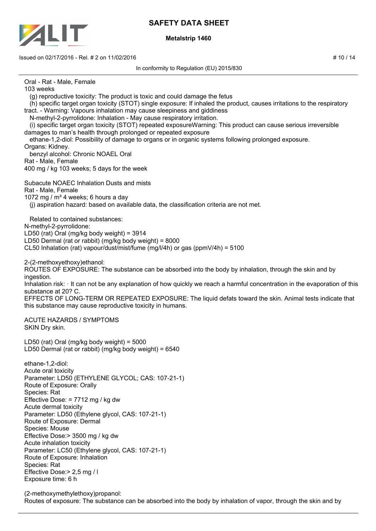

Exposure time: 6 h

# **SAFETY DATA SHEET**

## **Metalstrip 1460**

Issued on 02/17/2016 - Rel. # 2 on 11/02/2016 **# 10 / 14**  $\neq$  10 / 14

In conformity to Regulation (EU) 2015/830 Oral - Rat - Male, Female 103 weeks (g) reproductive toxicity: The product is toxic and could damage the fetus (h) specific target organ toxicity (STOT) single exposure: If inhaled the product, causes irritations to the respiratory tract. - Warning: Vapours inhalation may cause sleepiness and giddiness N-methyl-2-pyrrolidone: Inhalation - May cause respiratory irritation. (i) specific target organ toxicity (STOT) repeated exposureWarning: This product can cause serious irreversible damages to man's health through prolonged or repeated exposure ethane-1,2-diol: Possibility of damage to organs or in organic systems following prolonged exposure. Organs: Kidney. benzyl alcohol: Chronic NOAEL Oral Rat - Male, Female 400 mg / kg 103 weeks; 5 days for the week Subacute NOAEC Inhalation Dusts and mists Rat - Male, Female 1072 mg /  $m<sup>3</sup>$  4 weeks; 6 hours a day (j) aspiration hazard: based on available data, the classification criteria are not met. Related to contained substances: N-methyl-2-pyrrolidone: LD50 (rat) Oral (mg/kg body weight) = 3914 LD50 Dermal (rat or rabbit) (mg/kg body weight) = 8000 CL50 Inhalation (rat) vapour/dust/mist/fume (mg/l/4h) or gas (ppmV/4h) = 5100 2-(2-methoxyethoxy)ethanol: ROUTES OF EXPOSURE: The substance can be absorbed into the body by inhalation, through the skin and by ingestion. Inhalation risk: It can not be any explanation of how quickly we reach a harmful concentration in the evaporation of this substance at 20? C. EFFECTS OF LONG-TERM OR REPEATED EXPOSURE: The liquid defats toward the skin. Animal tests indicate that this substance may cause reproductive toxicity in humans. ACUTE HAZARDS / SYMPTOMS SKIN Dry skin. LD50 (rat) Oral (mg/kg body weight) = 5000 LD50 Dermal (rat or rabbit) (mg/kg body weight) = 6540 ethane-1,2-diol: Acute oral toxicity Parameter: LD50 (ETHYLENE GLYCOL; CAS: 107-21-1) Route of Exposure: Orally Species: Rat Effective Dose: = 7712 mg / kg dw Acute dermal toxicity Parameter: LD50 (Ethylene glycol, CAS: 107-21-1) Route of Exposure: Dermal Species: Mouse Effective Dose:> 3500 mg / kg dw Acute inhalation toxicity Parameter: LC50 (Ethylene glycol, CAS: 107-21-1) Route of Exposure: Inhalation Species: Rat Effective Dose:> 2,5 mg / l

(2-methoxymethylethoxy)propanol: Routes of exposure: The substance can be absorbed into the body by inhalation of vapor, through the skin and by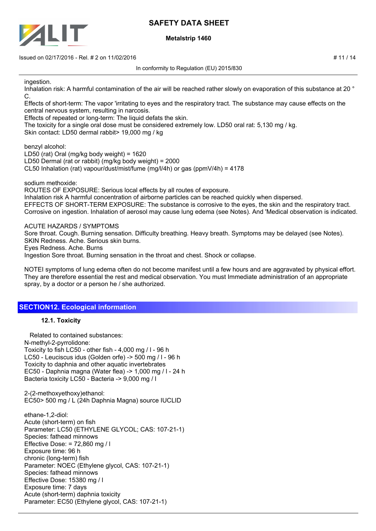

**Metalstrip 1460**

Issued on 02/17/2016 - Rel. # 2 on 11/02/2016 # 12 / 14  $\pm$  17 / 14  $\pm$  17 / 14  $\pm$  17 / 14  $\pm$  17 / 14  $\pm$  17 / 14  $\pm$  17  $\pm$  17  $\pm$  17  $\pm$  17  $\pm$  17  $\pm$  17  $\pm$  17  $\pm$  18  $\pm$  17  $\pm$  18  $\pm$  17  $\pm$  18  $\pm$ 

In conformity to Regulation (EU) 2015/830

ingestion.

Inhalation risk: A harmful contamination of the air will be reached rather slowly on evaporation of this substance at 20 ° C.

Effects of short-term: The vapor 'irritating to eyes and the respiratory tract. The substance may cause effects on the central nervous system, resulting in narcosis.

Effects of repeated or long-term: The liquid defats the skin.

The toxicity for a single oral dose must be considered extremely low. LD50 oral rat: 5,130 mg / kg. Skin contact: LD50 dermal rabbit> 19,000 mg / kg

benzyl alcohol:

LD50 (rat) Oral (mg/kg body weight) = 1620 LD50 Dermal (rat or rabbit) (mg/kg body weight) = 2000 CL50 Inhalation (rat) vapour/dust/mist/fume (mg/l/4h) or gas (ppmV/4h) = 4178

sodium methoxide:

ROUTES OF EXPOSURE: Serious local effects by all routes of exposure. Inhalation risk A harmful concentration of airborne particles can be reached quickly when dispersed. EFFECTS OF SHORT-TERM EXPOSURE: The substance is corrosive to the eyes, the skin and the respiratory tract. Corrosive on ingestion. Inhalation of aerosol may cause lung edema (see Notes). And 'Medical observation is indicated.

ACUTE HAZARDS / SYMPTOMS

Sore throat. Cough. Burning sensation. Difficulty breathing. Heavy breath. Symptoms may be delayed (see Notes). SKIN Redness. Ache. Serious skin burns. Eyes Redness. Ache. Burns Ingestion Sore throat. Burning sensation in the throat and chest. Shock or collapse.

NOTEI symptoms of lung edema often do not become manifest until a few hours and are aggravated by physical effort. They are therefore essential the rest and medical observation. You must Immediate administration of an appropriate spray, by a doctor or a person he / she authorized.

## **SECTION12. Ecological information**

## **12.1. Toxicity**

 Related to contained substances: N-methyl-2-pyrrolidone: Toxicity to fish LC50 - other fish - 4,000 mg / l - 96 h LC50 - Leuciscus idus (Golden orfe) -> 500 mg / l - 96 h Toxicity to daphnia and other aquatic invertebrates EC50 - Daphnia magna (Water flea) -> 1,000 mg / l - 24 h Bacteria toxicity LC50 - Bacteria -> 9,000 mg / l

2-(2-methoxyethoxy)ethanol: EC50> 500 mg / L (24h Daphnia Magna) source IUCLID

ethane-1,2-diol: Acute (short-term) on fish Parameter: LC50 (ETHYLENE GLYCOL; CAS: 107-21-1) Species: fathead minnows Effective Dose: = 72,860 mg / l Exposure time: 96 h chronic (long-term) fish Parameter: NOEC (Ethylene glycol, CAS: 107-21-1) Species: fathead minnows Effective Dose: 15380 mg / l Exposure time: 7 days Acute (short-term) daphnia toxicity Parameter: EC50 (Ethylene glycol, CAS: 107-21-1)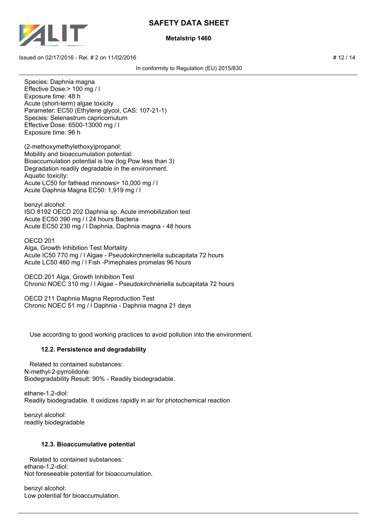

## **Metalstrip 1460**

 $\frac{1}{2}$  Issued on 02/17/2016 - Rel. # 2 on 11/02/2016  $\frac{1}{2}$  14

In conformity to Regulation (EU) 2015/830

Species: Daphnia magna Effective Dose:> 100 mg / l Exposure time: 48 h Acute (short-term) algae toxicity Parameter: EC50 (Ethylene glycol, CAS: 107-21-1) Species: Selenastrum capricornutum Effective Dose: 6500-13000 mg / l Exposure time: 96 h

(2-methoxymethylethoxy)propanol: Mobility and bioaccumulation potential: Bioaccumulation potential is low (log Pow less than 3) Degradation readily degradable in the environment. Aquatic toxicity: Acute LC50 for fathead minnows> 10,000 mg / l Acute Daphnia Magna EC50: 1,919 mg / l

benzyl alcohol: ISO 8192 OECD 202 Daphnia sp. Acute immobilization test Acute EC50 390 mg / l 24 hours Bacteria Acute EC50 230 mg / l Daphnia, Daphnia magna - 48 hours

OECD 201 Alga, Growth Inhibition Test Mortality Acute IC50 770 mg / l Algae - Pseudokirchneriella subcapitata 72 hours Acute LC50 460 mg / l Fish -Pimephales promelas 96 hours

OECD 201 Alga, Growth Inhibition Test Chronic NOEC 310 mg / l Algae - Pseudokirchneriella subcapitata 72 hours

OECD 211 Daphnia Magna Reproduction Test Chronic NOEC 51 mg / l Daphnia - Daphnia magna 21 days

Use according to good working practices to avoid pollution into the environment.

## **12.2. Persistence and degradability**

 Related to contained substances: N-methyl-2-pyrrolidone: Biodegradability Result: 90% - Readily biodegradable.

ethane-1,2-diol: Readily biodegradable. It oxidizes rapidly in air for photochemical reaction

benzyl alcohol: readily biodegradable

## **12.3. Bioaccumulative potential**

 Related to contained substances: ethane-1,2-diol: Not foreseeable potential for bioaccumulation.

benzyl alcohol: Low potential for bioaccumulation.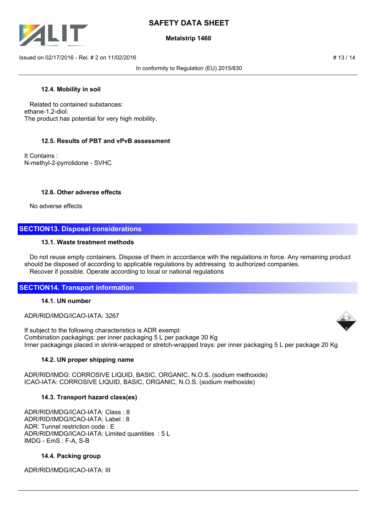

## **Metalstrip 1460**

 $\frac{1}{13}$  Issued on 02/17/2016 - Rel. # 2 on 11/02/2016

In conformity to Regulation (EU) 2015/830

### **12.4. Mobility in soil**

 Related to contained substances: ethane-1,2-diol: The product has potential for very high mobility.

### **12.5. Results of PBT and vPvB assessment**

It Contains : N-methyl-2-pyrrolidone - SVHC

### **12.6. Other adverse effects**

No adverse effects

## **SECTION13. Disposal considerations**

#### **13.1. Waste treatment methods**

 Do not reuse empty containers. Dispose of them in accordance with the regulations in force. Any remaining product should be disposed of according to applicable regulations by addressing to authorized companies. Recover if possible. Operate according to local or national regulations

## **SECTION14. Transport information**

## **14.1. UN number**

ADR/RID/IMDG/ICAO-IATA: 3267

If subject to the following characteristics is ADR exempt: Combination packagings: per inner packaging 5 L per package 30 Kg Inner packagings placed in skrink-wrapped or stretch-wrapped trays: per inner packaging 5 L per package 20 Kg

#### **14.2. UN proper shipping name**

ADR/RID/IMDG: CORROSIVE LIQUID, BASIC, ORGANIC, N.O.S. (sodium methoxide) ICAO-IATA: CORROSIVE LIQUID, BASIC, ORGANIC, N.O.S. (sodium methoxide)

## **14.3. Transport hazard class(es)**

ADR/RID/IMDG/ICAO-IATA: Class : 8 ADR/RID/IMDG/ICAO-IATA: Label : 8 ADR: Tunnel restriction code : E ADR/RID/IMDG/ICAO-IATA: Limited quantities : 5 L IMDG - EmS : F-A, S-B

#### **14.4. Packing group**

ADR/RID/IMDG/ICAO-IATA: III